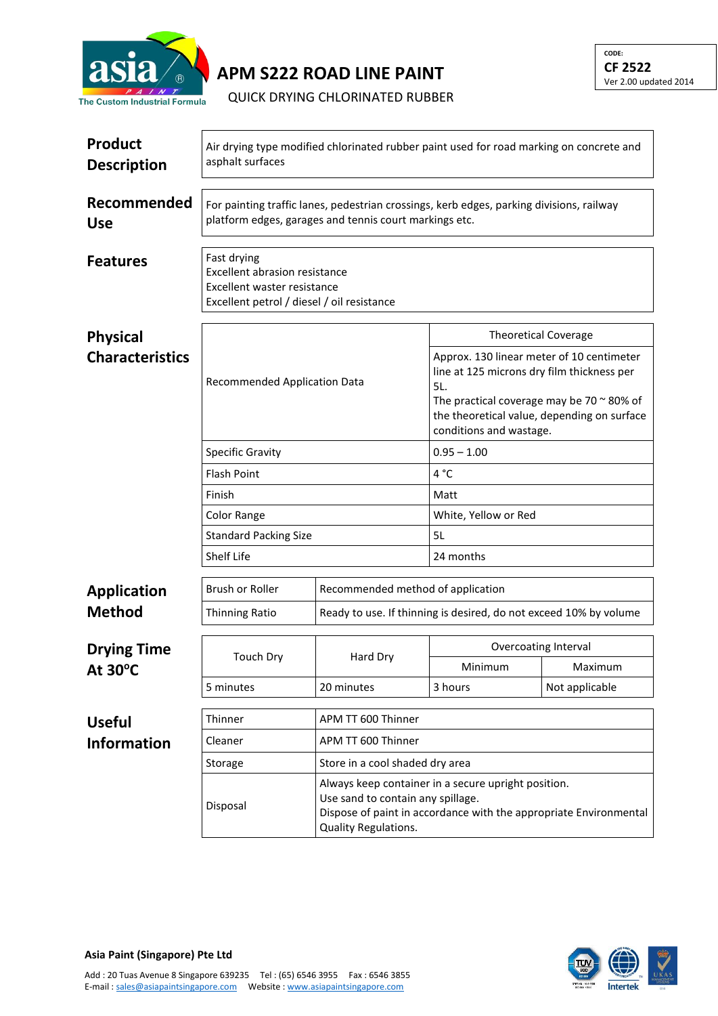

**APM S222 ROAD LINE PAINT**

QUICK DRYING CHLORINATED RUBBER

| <b>Product</b><br><b>Description</b>    | Air drying type modified chlorinated rubber paint used for road marking on concrete and<br>asphalt surfaces                                                                                       |                                   |                                                                                                                                                                                                                               |                |  |  |
|-----------------------------------------|---------------------------------------------------------------------------------------------------------------------------------------------------------------------------------------------------|-----------------------------------|-------------------------------------------------------------------------------------------------------------------------------------------------------------------------------------------------------------------------------|----------------|--|--|
| Recommended<br><b>Use</b>               | For painting traffic lanes, pedestrian crossings, kerb edges, parking divisions, railway<br>platform edges, garages and tennis court markings etc.                                                |                                   |                                                                                                                                                                                                                               |                |  |  |
| <b>Features</b>                         | Fast drying<br><b>Excellent abrasion resistance</b><br>Excellent waster resistance<br>Excellent petrol / diesel / oil resistance                                                                  |                                   |                                                                                                                                                                                                                               |                |  |  |
| <b>Physical</b>                         | <b>Recommended Application Data</b><br><b>Specific Gravity</b><br><b>Flash Point</b><br>Finish<br>Color Range                                                                                     |                                   | <b>Theoretical Coverage</b>                                                                                                                                                                                                   |                |  |  |
| <b>Characteristics</b>                  |                                                                                                                                                                                                   |                                   | Approx. 130 linear meter of 10 centimeter<br>line at 125 microns dry film thickness per<br>5L.<br>The practical coverage may be 70 $\approx$ 80% of<br>the theoretical value, depending on surface<br>conditions and wastage. |                |  |  |
|                                         |                                                                                                                                                                                                   |                                   | $0.95 - 1.00$                                                                                                                                                                                                                 |                |  |  |
|                                         |                                                                                                                                                                                                   |                                   | 4 °C                                                                                                                                                                                                                          |                |  |  |
|                                         |                                                                                                                                                                                                   |                                   | Matt                                                                                                                                                                                                                          |                |  |  |
|                                         |                                                                                                                                                                                                   |                                   | White, Yellow or Red                                                                                                                                                                                                          |                |  |  |
|                                         | <b>Standard Packing Size</b>                                                                                                                                                                      |                                   | 5L                                                                                                                                                                                                                            |                |  |  |
|                                         | Shelf Life                                                                                                                                                                                        |                                   | 24 months                                                                                                                                                                                                                     |                |  |  |
| <b>Application</b>                      | Brush or Roller                                                                                                                                                                                   | Recommended method of application |                                                                                                                                                                                                                               |                |  |  |
| <b>Method</b>                           | <b>Thinning Ratio</b>                                                                                                                                                                             |                                   | Ready to use. If thinning is desired, do not exceed 10% by volume                                                                                                                                                             |                |  |  |
| <b>Drying Time</b><br>At $30^{\circ}$ C |                                                                                                                                                                                                   | Hard Dry                          | Overcoating Interval                                                                                                                                                                                                          |                |  |  |
|                                         | <b>Touch Dry</b>                                                                                                                                                                                  |                                   | Minimum                                                                                                                                                                                                                       | Maximum        |  |  |
|                                         | 5 minutes                                                                                                                                                                                         | 20 minutes                        | 3 hours                                                                                                                                                                                                                       | Not applicable |  |  |
| <b>Useful</b>                           | Thinner                                                                                                                                                                                           | APM TT 600 Thinner                |                                                                                                                                                                                                                               |                |  |  |
| <b>Information</b>                      | Cleaner                                                                                                                                                                                           | APM TT 600 Thinner                |                                                                                                                                                                                                                               |                |  |  |
|                                         | Storage                                                                                                                                                                                           | Store in a cool shaded dry area   |                                                                                                                                                                                                                               |                |  |  |
|                                         | Always keep container in a secure upright position.<br>Use sand to contain any spillage.<br>Disposal<br>Dispose of paint in accordance with the appropriate Environmental<br>Quality Regulations. |                                   |                                                                                                                                                                                                                               |                |  |  |